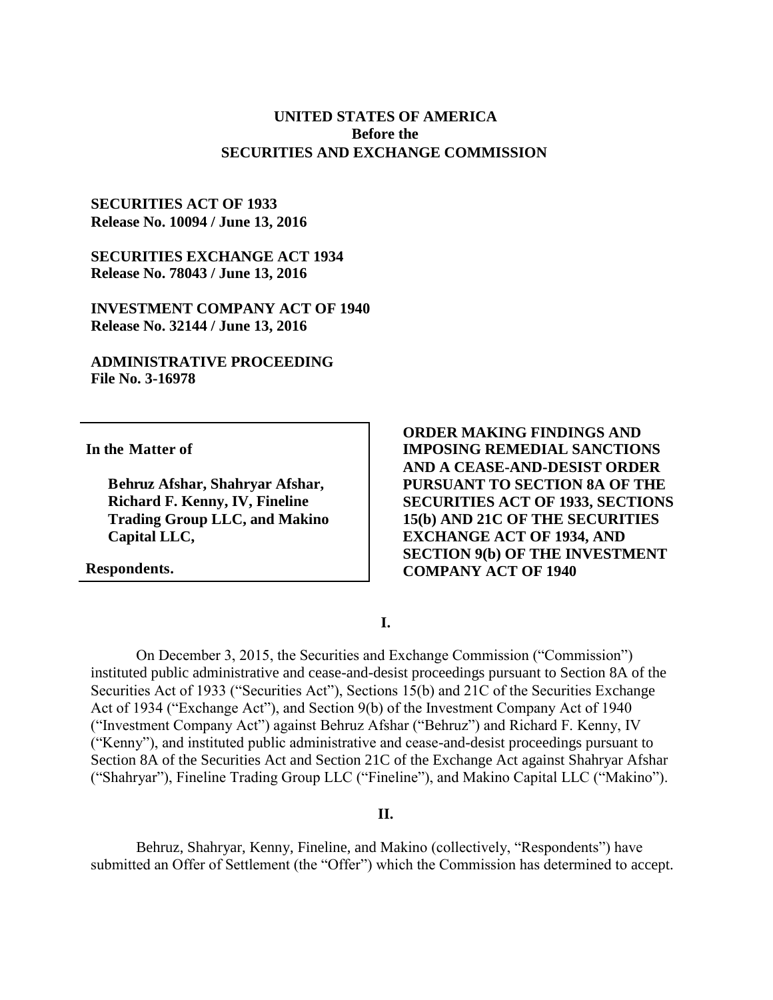### **UNITED STATES OF AMERICA Before the SECURITIES AND EXCHANGE COMMISSION**

### **SECURITIES ACT OF 1933 Release No. 10094 / June 13, 2016**

**SECURITIES EXCHANGE ACT 1934 Release No. 78043 / June 13, 2016**

**INVESTMENT COMPANY ACT OF 1940 Release No. 32144 / June 13, 2016**

**ADMINISTRATIVE PROCEEDING File No. 3-16978**

**In the Matter of**

**Behruz Afshar, Shahryar Afshar, Richard F. Kenny, IV, Fineline Trading Group LLC, and Makino Capital LLC,**

**Respondents.**

**ORDER MAKING FINDINGS AND IMPOSING REMEDIAL SANCTIONS AND A CEASE-AND-DESIST ORDER PURSUANT TO SECTION 8A OF THE SECURITIES ACT OF 1933, SECTIONS 15(b) AND 21C OF THE SECURITIES EXCHANGE ACT OF 1934, AND SECTION 9(b) OF THE INVESTMENT COMPANY ACT OF 1940**

**I.**

On December 3, 2015, the Securities and Exchange Commission ("Commission") instituted public administrative and cease-and-desist proceedings pursuant to Section 8A of the Securities Act of 1933 ("Securities Act"), Sections 15(b) and 21C of the Securities Exchange Act of 1934 ("Exchange Act"), and Section 9(b) of the Investment Company Act of 1940 ("Investment Company Act") against Behruz Afshar ("Behruz") and Richard F. Kenny, IV ("Kenny"), and instituted public administrative and cease-and-desist proceedings pursuant to Section 8A of the Securities Act and Section 21C of the Exchange Act against Shahryar Afshar ("Shahryar"), Fineline Trading Group LLC ("Fineline"), and Makino Capital LLC ("Makino").

#### **II.**

Behruz, Shahryar, Kenny, Fineline, and Makino (collectively, "Respondents") have submitted an Offer of Settlement (the "Offer") which the Commission has determined to accept.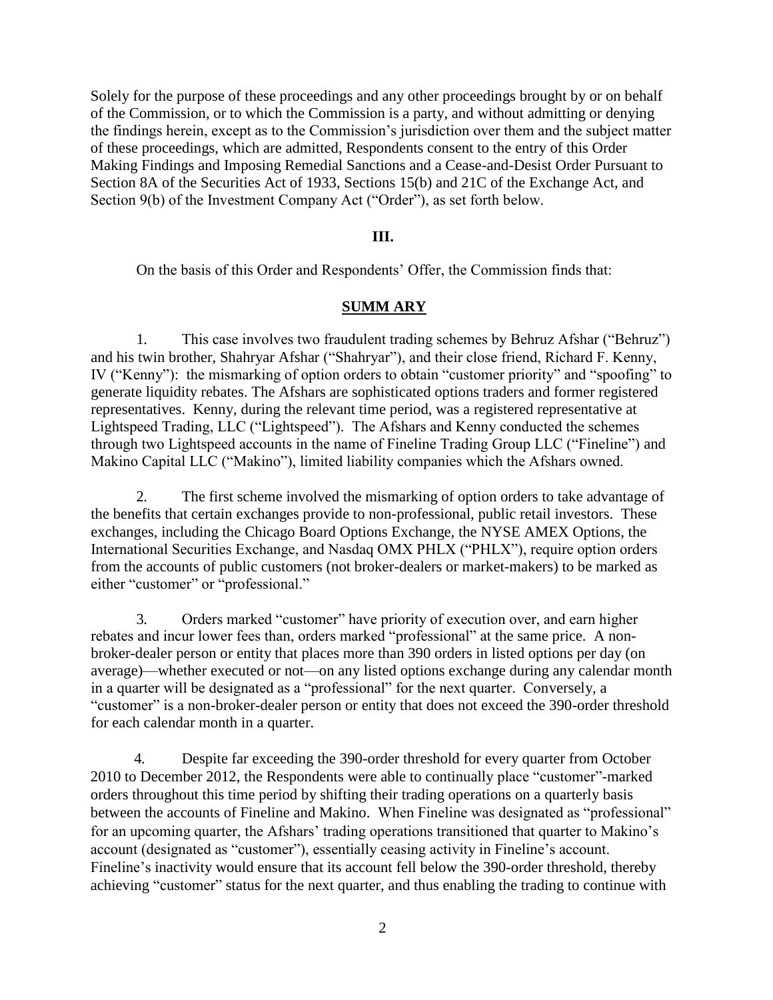Solely for the purpose of these proceedings and any other proceedings brought by or on behalf of the Commission, or to which the Commission is a party, and without admitting or denying the findings herein, except as to the Commission's jurisdiction over them and the subject matter of these proceedings, which are admitted, Respondents consent to the entry of this Order Making Findings and Imposing Remedial Sanctions and a Cease-and-Desist Order Pursuant to Section 8A of the Securities Act of 1933, Sections 15(b) and 21C of the Exchange Act, and Section 9(b) of the Investment Company Act ("Order"), as set forth below.

### **III.**

On the basis of this Order and Respondents' Offer, the Commission finds that:

### **SUMM ARY**

1. This case involves two fraudulent trading schemes by Behruz Afshar ("Behruz") and his twin brother, Shahryar Afshar ("Shahryar"), and their close friend, Richard F. Kenny, IV ("Kenny"): the mismarking of option orders to obtain "customer priority" and "spoofing" to generate liquidity rebates. The Afshars are sophisticated options traders and former registered representatives. Kenny, during the relevant time period, was a registered representative at Lightspeed Trading, LLC ("Lightspeed"). The Afshars and Kenny conducted the schemes through two Lightspeed accounts in the name of Fineline Trading Group LLC ("Fineline") and Makino Capital LLC ("Makino"), limited liability companies which the Afshars owned.

2. The first scheme involved the mismarking of option orders to take advantage of the benefits that certain exchanges provide to non-professional, public retail investors. These exchanges, including the Chicago Board Options Exchange, the NYSE AMEX Options, the International Securities Exchange, and Nasdaq OMX PHLX ("PHLX"), require option orders from the accounts of public customers (not broker-dealers or market-makers) to be marked as either "customer" or "professional."

3. Orders marked "customer" have priority of execution over, and earn higher rebates and incur lower fees than, orders marked "professional" at the same price. A nonbroker-dealer person or entity that places more than 390 orders in listed options per day (on average)—whether executed or not—on any listed options exchange during any calendar month in a quarter will be designated as a "professional" for the next quarter. Conversely, a "customer" is a non-broker-dealer person or entity that does not exceed the 390-order threshold for each calendar month in a quarter.

4. Despite far exceeding the 390-order threshold for every quarter from October 2010 to December 2012, the Respondents were able to continually place "customer"-marked orders throughout this time period by shifting their trading operations on a quarterly basis between the accounts of Fineline and Makino. When Fineline was designated as "professional" for an upcoming quarter, the Afshars' trading operations transitioned that quarter to Makino's account (designated as "customer"), essentially ceasing activity in Fineline's account. Fineline's inactivity would ensure that its account fell below the 390-order threshold, thereby achieving "customer" status for the next quarter, and thus enabling the trading to continue with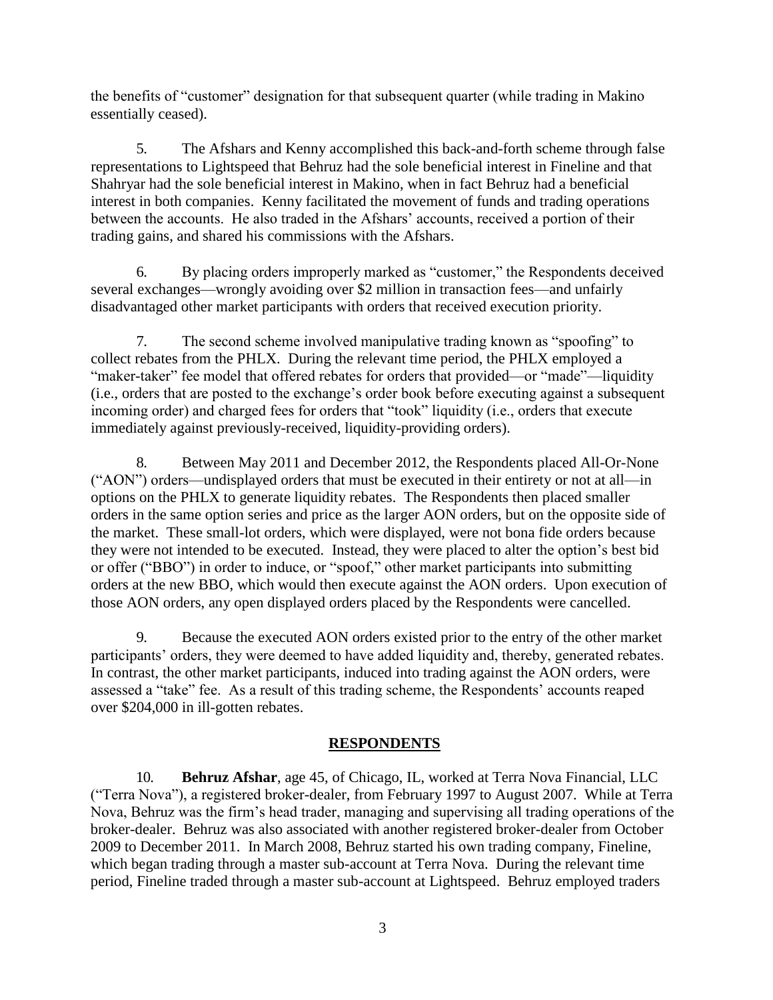the benefits of "customer" designation for that subsequent quarter (while trading in Makino essentially ceased).

5. The Afshars and Kenny accomplished this back-and-forth scheme through false representations to Lightspeed that Behruz had the sole beneficial interest in Fineline and that Shahryar had the sole beneficial interest in Makino, when in fact Behruz had a beneficial interest in both companies. Kenny facilitated the movement of funds and trading operations between the accounts. He also traded in the Afshars' accounts, received a portion of their trading gains, and shared his commissions with the Afshars.

6. By placing orders improperly marked as "customer," the Respondents deceived several exchanges—wrongly avoiding over \$2 million in transaction fees—and unfairly disadvantaged other market participants with orders that received execution priority.

7. The second scheme involved manipulative trading known as "spoofing" to collect rebates from the PHLX. During the relevant time period, the PHLX employed a "maker-taker" fee model that offered rebates for orders that provided—or "made"—liquidity (i.e., orders that are posted to the exchange's order book before executing against a subsequent incoming order) and charged fees for orders that "took" liquidity (i.e., orders that execute immediately against previously-received, liquidity-providing orders).

8. Between May 2011 and December 2012, the Respondents placed All-Or-None ("AON") orders—undisplayed orders that must be executed in their entirety or not at all—in options on the PHLX to generate liquidity rebates. The Respondents then placed smaller orders in the same option series and price as the larger AON orders, but on the opposite side of the market. These small-lot orders, which were displayed, were not bona fide orders because they were not intended to be executed. Instead, they were placed to alter the option's best bid or offer ("BBO") in order to induce, or "spoof," other market participants into submitting orders at the new BBO, which would then execute against the AON orders. Upon execution of those AON orders, any open displayed orders placed by the Respondents were cancelled.

9. Because the executed AON orders existed prior to the entry of the other market participants' orders, they were deemed to have added liquidity and, thereby, generated rebates. In contrast, the other market participants, induced into trading against the AON orders, were assessed a "take" fee. As a result of this trading scheme, the Respondents' accounts reaped over \$204,000 in ill-gotten rebates.

## **RESPONDENTS**

10. **Behruz Afshar**, age 45, of Chicago, IL, worked at Terra Nova Financial, LLC ("Terra Nova"), a registered broker-dealer, from February 1997 to August 2007. While at Terra Nova, Behruz was the firm's head trader, managing and supervising all trading operations of the broker-dealer. Behruz was also associated with another registered broker-dealer from October 2009 to December 2011. In March 2008, Behruz started his own trading company, Fineline, which began trading through a master sub-account at Terra Nova. During the relevant time period, Fineline traded through a master sub-account at Lightspeed. Behruz employed traders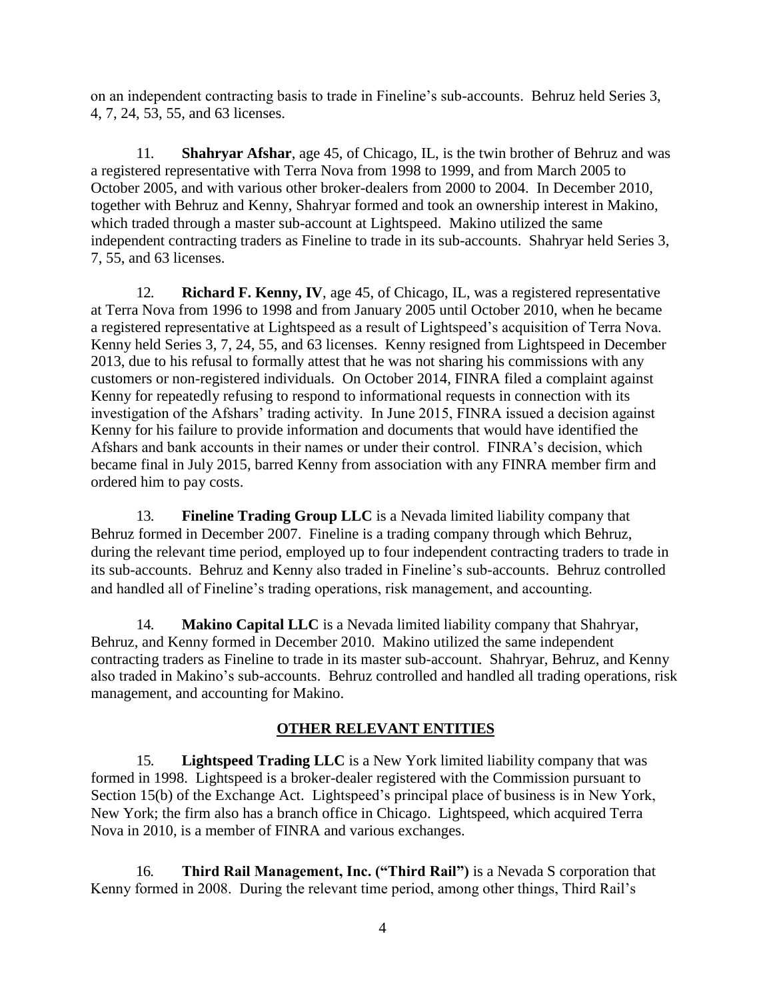on an independent contracting basis to trade in Fineline's sub-accounts. Behruz held Series 3, 4, 7, 24, 53, 55, and 63 licenses.

11. **Shahryar Afshar**, age 45, of Chicago, IL, is the twin brother of Behruz and was a registered representative with Terra Nova from 1998 to 1999, and from March 2005 to October 2005, and with various other broker-dealers from 2000 to 2004. In December 2010, together with Behruz and Kenny, Shahryar formed and took an ownership interest in Makino, which traded through a master sub-account at Lightspeed. Makino utilized the same independent contracting traders as Fineline to trade in its sub-accounts. Shahryar held Series 3, 7, 55, and 63 licenses.

12. **Richard F. Kenny, IV**, age 45, of Chicago, IL, was a registered representative at Terra Nova from 1996 to 1998 and from January 2005 until October 2010, when he became a registered representative at Lightspeed as a result of Lightspeed's acquisition of Terra Nova. Kenny held Series 3, 7, 24, 55, and 63 licenses. Kenny resigned from Lightspeed in December 2013, due to his refusal to formally attest that he was not sharing his commissions with any customers or non-registered individuals. On October 2014, FINRA filed a complaint against Kenny for repeatedly refusing to respond to informational requests in connection with its investigation of the Afshars' trading activity. In June 2015, FINRA issued a decision against Kenny for his failure to provide information and documents that would have identified the Afshars and bank accounts in their names or under their control. FINRA's decision, which became final in July 2015, barred Kenny from association with any FINRA member firm and ordered him to pay costs.

13. **Fineline Trading Group LLC** is a Nevada limited liability company that Behruz formed in December 2007. Fineline is a trading company through which Behruz, during the relevant time period, employed up to four independent contracting traders to trade in its sub-accounts. Behruz and Kenny also traded in Fineline's sub-accounts. Behruz controlled and handled all of Fineline's trading operations, risk management, and accounting.

14. **Makino Capital LLC** is a Nevada limited liability company that Shahryar, Behruz, and Kenny formed in December 2010. Makino utilized the same independent contracting traders as Fineline to trade in its master sub-account. Shahryar, Behruz, and Kenny also traded in Makino's sub-accounts. Behruz controlled and handled all trading operations, risk management, and accounting for Makino.

## **OTHER RELEVANT ENTITIES**

15. **Lightspeed Trading LLC** is a New York limited liability company that was formed in 1998. Lightspeed is a broker-dealer registered with the Commission pursuant to Section 15(b) of the Exchange Act. Lightspeed's principal place of business is in New York, New York; the firm also has a branch office in Chicago. Lightspeed, which acquired Terra Nova in 2010, is a member of FINRA and various exchanges.

16. **Third Rail Management, Inc. ("Third Rail")** is a Nevada S corporation that Kenny formed in 2008. During the relevant time period, among other things, Third Rail's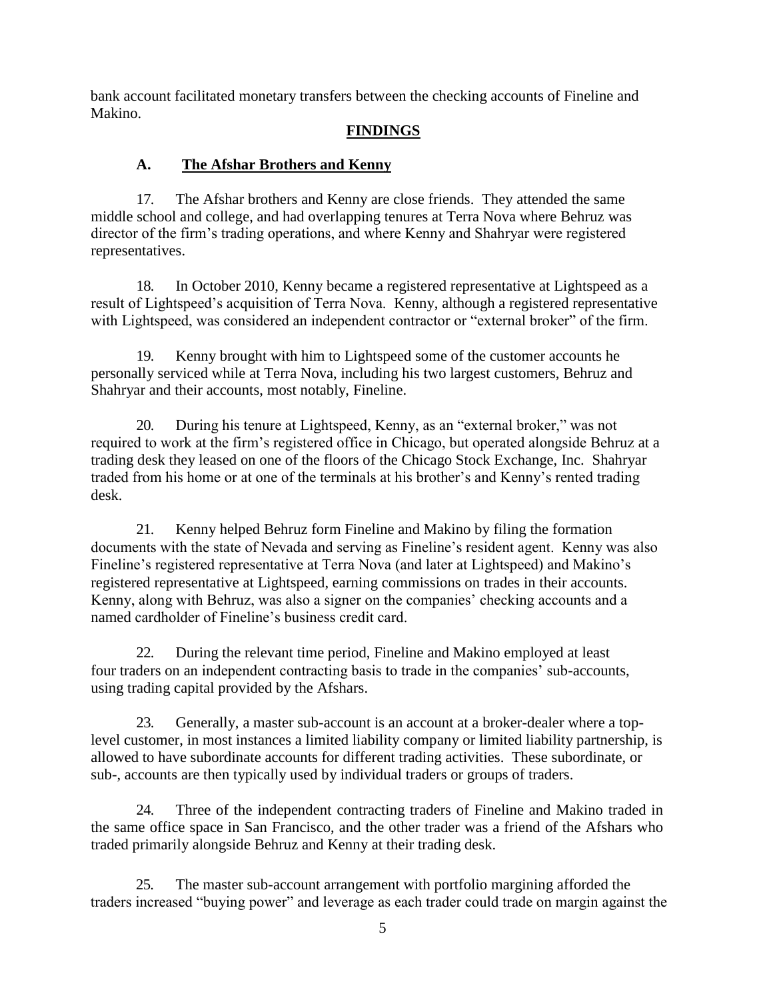bank account facilitated monetary transfers between the checking accounts of Fineline and Makino.

### **FINDINGS**

## **A. The Afshar Brothers and Kenny**

17. The Afshar brothers and Kenny are close friends. They attended the same middle school and college, and had overlapping tenures at Terra Nova where Behruz was director of the firm's trading operations, and where Kenny and Shahryar were registered representatives.

18. In October 2010, Kenny became a registered representative at Lightspeed as a result of Lightspeed's acquisition of Terra Nova. Kenny, although a registered representative with Lightspeed, was considered an independent contractor or "external broker" of the firm.

19. Kenny brought with him to Lightspeed some of the customer accounts he personally serviced while at Terra Nova, including his two largest customers, Behruz and Shahryar and their accounts, most notably, Fineline.

20. During his tenure at Lightspeed, Kenny, as an "external broker," was not required to work at the firm's registered office in Chicago, but operated alongside Behruz at a trading desk they leased on one of the floors of the Chicago Stock Exchange, Inc. Shahryar traded from his home or at one of the terminals at his brother's and Kenny's rented trading desk.

21. Kenny helped Behruz form Fineline and Makino by filing the formation documents with the state of Nevada and serving as Fineline's resident agent. Kenny was also Fineline's registered representative at Terra Nova (and later at Lightspeed) and Makino's registered representative at Lightspeed, earning commissions on trades in their accounts. Kenny, along with Behruz, was also a signer on the companies' checking accounts and a named cardholder of Fineline's business credit card.

22. During the relevant time period, Fineline and Makino employed at least four traders on an independent contracting basis to trade in the companies' sub-accounts, using trading capital provided by the Afshars.

23. Generally, a master sub-account is an account at a broker-dealer where a toplevel customer, in most instances a limited liability company or limited liability partnership, is allowed to have subordinate accounts for different trading activities. These subordinate, or sub-, accounts are then typically used by individual traders or groups of traders.

24. Three of the independent contracting traders of Fineline and Makino traded in the same office space in San Francisco, and the other trader was a friend of the Afshars who traded primarily alongside Behruz and Kenny at their trading desk.

25. The master sub-account arrangement with portfolio margining afforded the traders increased "buying power" and leverage as each trader could trade on margin against the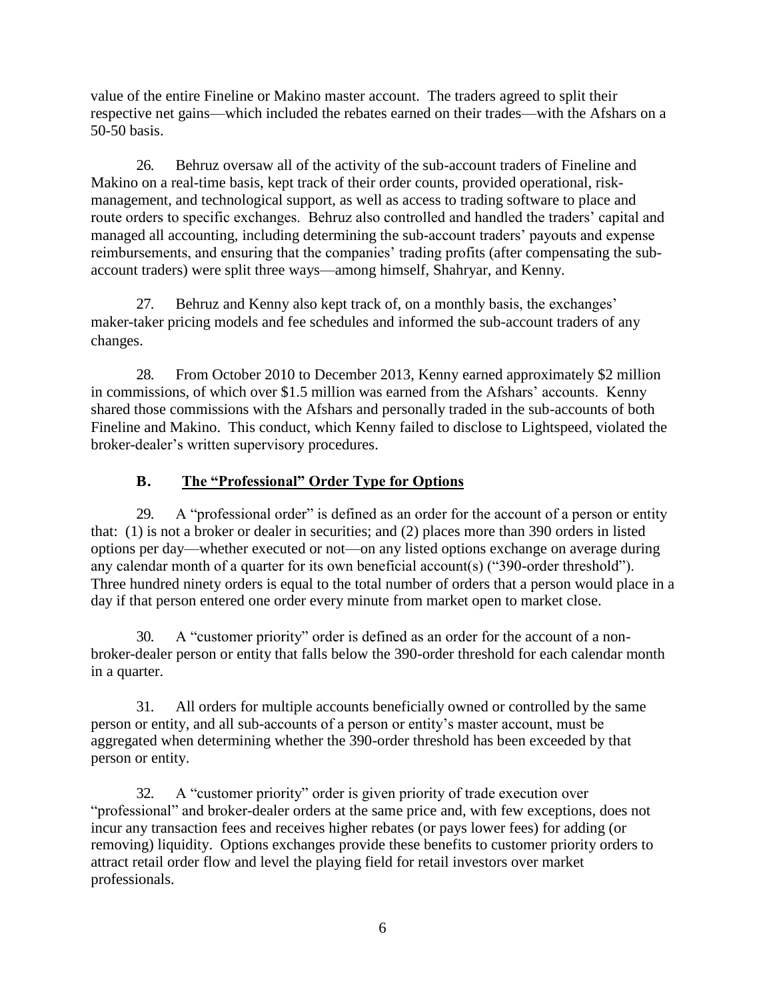value of the entire Fineline or Makino master account. The traders agreed to split their respective net gains—which included the rebates earned on their trades—with the Afshars on a 50-50 basis.

26. Behruz oversaw all of the activity of the sub-account traders of Fineline and Makino on a real-time basis, kept track of their order counts, provided operational, riskmanagement, and technological support, as well as access to trading software to place and route orders to specific exchanges. Behruz also controlled and handled the traders' capital and managed all accounting, including determining the sub-account traders' payouts and expense reimbursements, and ensuring that the companies' trading profits (after compensating the subaccount traders) were split three ways—among himself, Shahryar, and Kenny.

27. Behruz and Kenny also kept track of, on a monthly basis, the exchanges' maker-taker pricing models and fee schedules and informed the sub-account traders of any changes.

28. From October 2010 to December 2013, Kenny earned approximately \$2 million in commissions, of which over \$1.5 million was earned from the Afshars' accounts. Kenny shared those commissions with the Afshars and personally traded in the sub-accounts of both Fineline and Makino. This conduct, which Kenny failed to disclose to Lightspeed, violated the broker-dealer's written supervisory procedures.

# **B. The "Professional" Order Type for Options**

29. A "professional order" is defined as an order for the account of a person or entity that: (1) is not a broker or dealer in securities; and (2) places more than 390 orders in listed options per day—whether executed or not—on any listed options exchange on average during any calendar month of a quarter for its own beneficial account(s) ("390-order threshold"). Three hundred ninety orders is equal to the total number of orders that a person would place in a day if that person entered one order every minute from market open to market close.

30. A "customer priority" order is defined as an order for the account of a nonbroker-dealer person or entity that falls below the 390-order threshold for each calendar month in a quarter.

31. All orders for multiple accounts beneficially owned or controlled by the same person or entity, and all sub-accounts of a person or entity's master account, must be aggregated when determining whether the 390-order threshold has been exceeded by that person or entity.

32. A "customer priority" order is given priority of trade execution over "professional" and broker-dealer orders at the same price and, with few exceptions, does not incur any transaction fees and receives higher rebates (or pays lower fees) for adding (or removing) liquidity. Options exchanges provide these benefits to customer priority orders to attract retail order flow and level the playing field for retail investors over market professionals.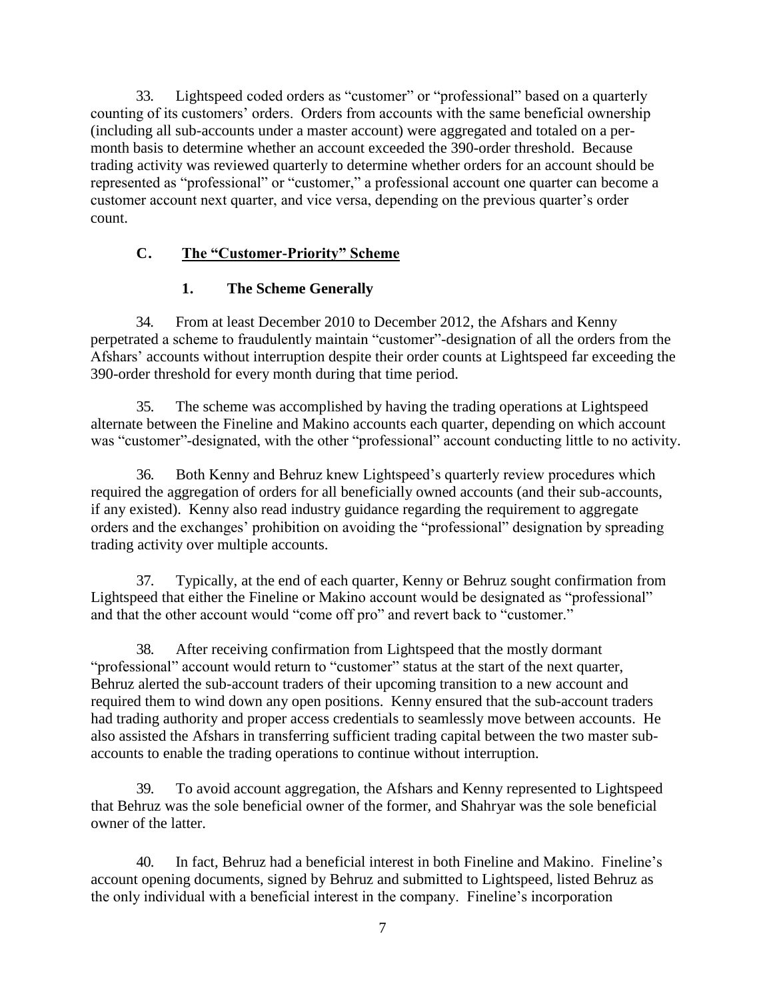33. Lightspeed coded orders as "customer" or "professional" based on a quarterly counting of its customers' orders. Orders from accounts with the same beneficial ownership (including all sub-accounts under a master account) were aggregated and totaled on a permonth basis to determine whether an account exceeded the 390-order threshold. Because trading activity was reviewed quarterly to determine whether orders for an account should be represented as "professional" or "customer," a professional account one quarter can become a customer account next quarter, and vice versa, depending on the previous quarter's order count.

## **C. The "Customer-Priority" Scheme**

## **1. The Scheme Generally**

34. From at least December 2010 to December 2012, the Afshars and Kenny perpetrated a scheme to fraudulently maintain "customer"-designation of all the orders from the Afshars' accounts without interruption despite their order counts at Lightspeed far exceeding the 390-order threshold for every month during that time period.

35. The scheme was accomplished by having the trading operations at Lightspeed alternate between the Fineline and Makino accounts each quarter, depending on which account was "customer"-designated, with the other "professional" account conducting little to no activity.

36. Both Kenny and Behruz knew Lightspeed's quarterly review procedures which required the aggregation of orders for all beneficially owned accounts (and their sub-accounts, if any existed). Kenny also read industry guidance regarding the requirement to aggregate orders and the exchanges' prohibition on avoiding the "professional" designation by spreading trading activity over multiple accounts.

37. Typically, at the end of each quarter, Kenny or Behruz sought confirmation from Lightspeed that either the Fineline or Makino account would be designated as "professional" and that the other account would "come off pro" and revert back to "customer."

38. After receiving confirmation from Lightspeed that the mostly dormant "professional" account would return to "customer" status at the start of the next quarter, Behruz alerted the sub-account traders of their upcoming transition to a new account and required them to wind down any open positions. Kenny ensured that the sub-account traders had trading authority and proper access credentials to seamlessly move between accounts. He also assisted the Afshars in transferring sufficient trading capital between the two master subaccounts to enable the trading operations to continue without interruption.

39. To avoid account aggregation, the Afshars and Kenny represented to Lightspeed that Behruz was the sole beneficial owner of the former, and Shahryar was the sole beneficial owner of the latter.

40. In fact, Behruz had a beneficial interest in both Fineline and Makino. Fineline's account opening documents, signed by Behruz and submitted to Lightspeed, listed Behruz as the only individual with a beneficial interest in the company. Fineline's incorporation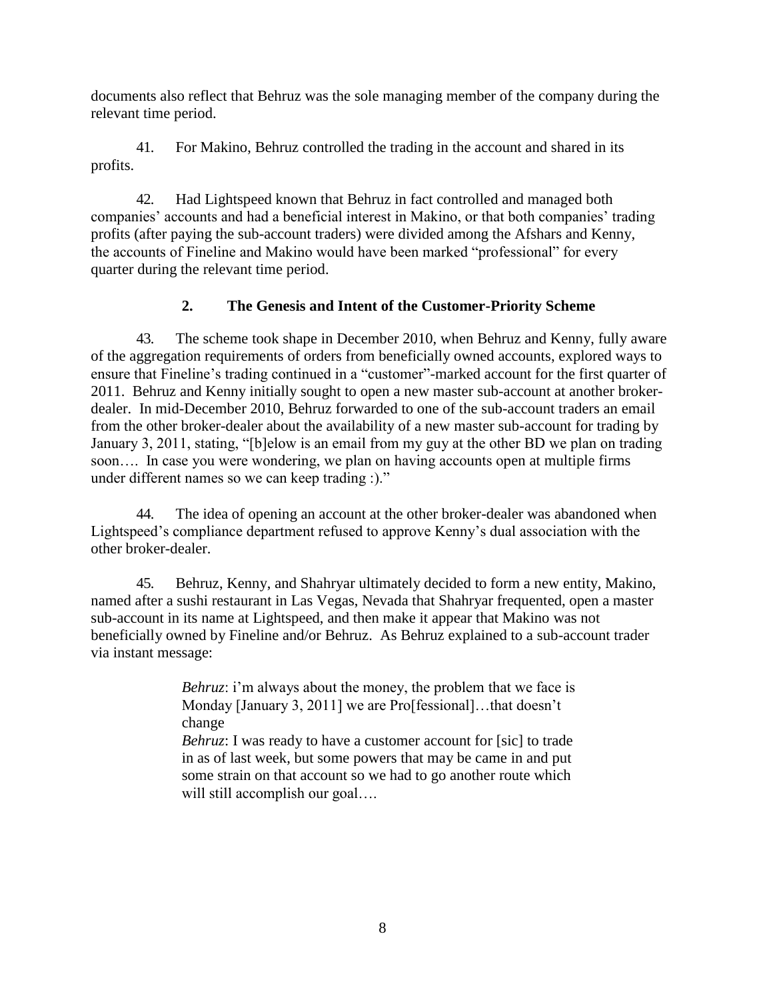documents also reflect that Behruz was the sole managing member of the company during the relevant time period.

41. For Makino, Behruz controlled the trading in the account and shared in its profits.

42. Had Lightspeed known that Behruz in fact controlled and managed both companies' accounts and had a beneficial interest in Makino, or that both companies' trading profits (after paying the sub-account traders) were divided among the Afshars and Kenny, the accounts of Fineline and Makino would have been marked "professional" for every quarter during the relevant time period.

# **2. The Genesis and Intent of the Customer-Priority Scheme**

43. The scheme took shape in December 2010, when Behruz and Kenny, fully aware of the aggregation requirements of orders from beneficially owned accounts, explored ways to ensure that Fineline's trading continued in a "customer"-marked account for the first quarter of 2011. Behruz and Kenny initially sought to open a new master sub-account at another brokerdealer. In mid-December 2010, Behruz forwarded to one of the sub-account traders an email from the other broker-dealer about the availability of a new master sub-account for trading by January 3, 2011, stating, "[b]elow is an email from my guy at the other BD we plan on trading soon…. In case you were wondering, we plan on having accounts open at multiple firms under different names so we can keep trading :)."

44. The idea of opening an account at the other broker-dealer was abandoned when Lightspeed's compliance department refused to approve Kenny's dual association with the other broker-dealer.

45. Behruz, Kenny, and Shahryar ultimately decided to form a new entity, Makino, named after a sushi restaurant in Las Vegas, Nevada that Shahryar frequented, open a master sub-account in its name at Lightspeed, and then make it appear that Makino was not beneficially owned by Fineline and/or Behruz. As Behruz explained to a sub-account trader via instant message:

> *Behruz*: i'm always about the money, the problem that we face is Monday [January 3, 2011] we are Pro[fessional]...that doesn't change

> *Behruz*: I was ready to have a customer account for [sic] to trade in as of last week, but some powers that may be came in and put some strain on that account so we had to go another route which will still accomplish our goal....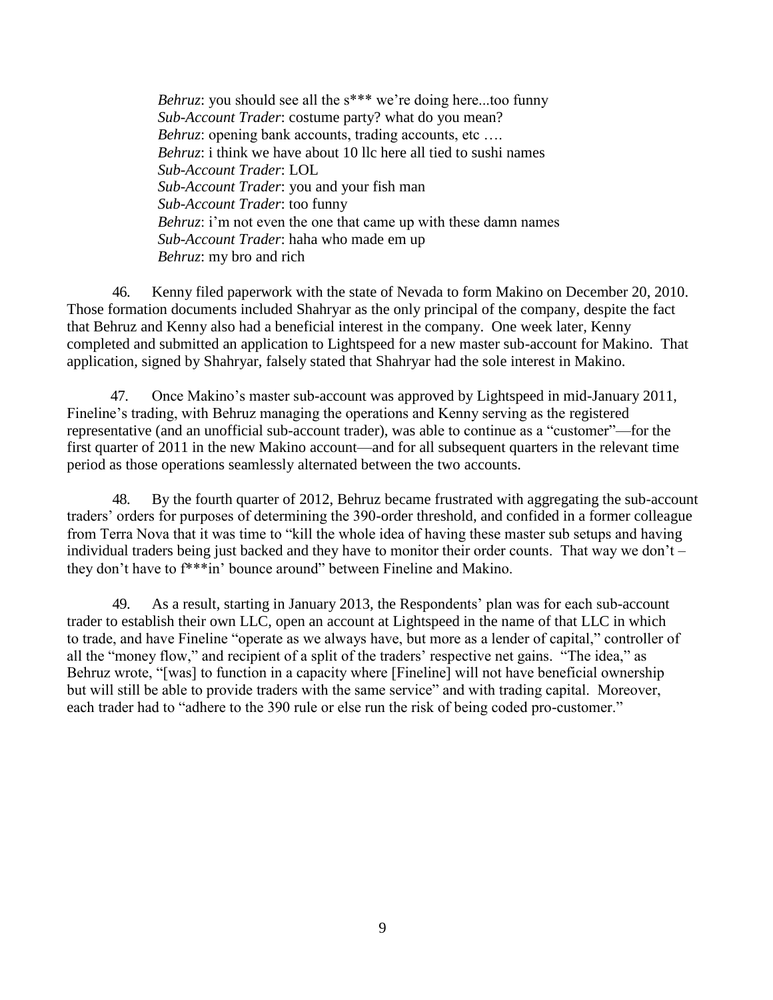*Behruz*: you should see all the s\*\*\* we're doing here...too funny *Sub-Account Trader*: costume party? what do you mean? *Behruz*: opening bank accounts, trading accounts, etc ... *Behruz*: *i* think we have about 10 llc here all tied to sushi names *Sub-Account Trader*: LOL *Sub-Account Trader*: you and your fish man *Sub-Account Trader*: too funny *Behruz*: i'm not even the one that came up with these damn names *Sub-Account Trader*: haha who made em up *Behruz*: my bro and rich

46. Kenny filed paperwork with the state of Nevada to form Makino on December 20, 2010. Those formation documents included Shahryar as the only principal of the company, despite the fact that Behruz and Kenny also had a beneficial interest in the company. One week later, Kenny completed and submitted an application to Lightspeed for a new master sub-account for Makino. That application, signed by Shahryar, falsely stated that Shahryar had the sole interest in Makino.

47. Once Makino's master sub-account was approved by Lightspeed in mid-January 2011, Fineline's trading, with Behruz managing the operations and Kenny serving as the registered representative (and an unofficial sub-account trader), was able to continue as a "customer"—for the first quarter of 2011 in the new Makino account—and for all subsequent quarters in the relevant time period as those operations seamlessly alternated between the two accounts.

48. By the fourth quarter of 2012, Behruz became frustrated with aggregating the sub-account traders' orders for purposes of determining the 390-order threshold, and confided in a former colleague from Terra Nova that it was time to "kill the whole idea of having these master sub setups and having individual traders being just backed and they have to monitor their order counts. That way we don't  $$ they don't have to f\*\*\*in' bounce around" between Fineline and Makino.

49. As a result, starting in January 2013, the Respondents' plan was for each sub-account trader to establish their own LLC, open an account at Lightspeed in the name of that LLC in which to trade, and have Fineline "operate as we always have, but more as a lender of capital," controller of all the "money flow," and recipient of a split of the traders' respective net gains. "The idea," as Behruz wrote, "[was] to function in a capacity where [Fineline] will not have beneficial ownership but will still be able to provide traders with the same service" and with trading capital. Moreover, each trader had to "adhere to the 390 rule or else run the risk of being coded pro-customer."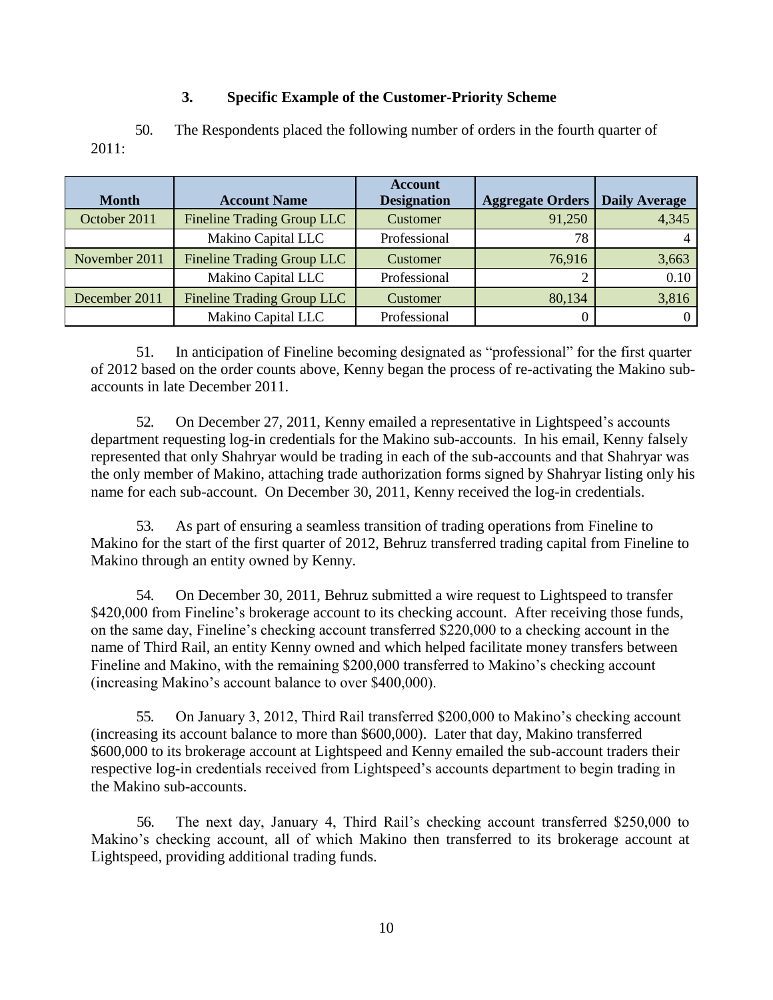## **3. Specific Example of the Customer-Priority Scheme**

2011: 50. The Respondents placed the following number of orders in the fourth quarter of

| <b>Month</b>  | <b>Account Name</b>               | <b>Account</b><br><b>Designation</b> | <b>Aggregate Orders</b> | <b>Daily Average</b> |
|---------------|-----------------------------------|--------------------------------------|-------------------------|----------------------|
| October 2011  | Fineline Trading Group LLC        | Customer                             | 91,250                  | 4,345                |
|               | Makino Capital LLC                | Professional                         | 78                      |                      |
| November 2011 | <b>Fineline Trading Group LLC</b> | Customer                             | 76,916                  | 3,663                |
|               | Makino Capital LLC                | Professional                         |                         | 0.10                 |
| December 2011 | Fineline Trading Group LLC        | Customer                             | 80,134                  | 3,816                |
|               | Makino Capital LLC                | Professional                         |                         |                      |

51. In anticipation of Fineline becoming designated as "professional" for the first quarter of 2012 based on the order counts above, Kenny began the process of re-activating the Makino subaccounts in late December 2011.

52. On December 27, 2011, Kenny emailed a representative in Lightspeed's accounts department requesting log-in credentials for the Makino sub-accounts. In his email, Kenny falsely represented that only Shahryar would be trading in each of the sub-accounts and that Shahryar was the only member of Makino, attaching trade authorization forms signed by Shahryar listing only his name for each sub-account. On December 30, 2011, Kenny received the log-in credentials.

53. As part of ensuring a seamless transition of trading operations from Fineline to Makino for the start of the first quarter of 2012, Behruz transferred trading capital from Fineline to Makino through an entity owned by Kenny.

54. On December 30, 2011, Behruz submitted a wire request to Lightspeed to transfer \$420,000 from Fineline's brokerage account to its checking account. After receiving those funds, on the same day, Fineline's checking account transferred \$220,000 to a checking account in the name of Third Rail, an entity Kenny owned and which helped facilitate money transfers between Fineline and Makino, with the remaining \$200,000 transferred to Makino's checking account (increasing Makino's account balance to over \$400,000).

55. On January 3, 2012, Third Rail transferred \$200,000 to Makino's checking account (increasing its account balance to more than \$600,000). Later that day, Makino transferred \$600,000 to its brokerage account at Lightspeed and Kenny emailed the sub-account traders their respective log-in credentials received from Lightspeed's accounts department to begin trading in the Makino sub-accounts.

56. The next day, January 4, Third Rail's checking account transferred \$250,000 to Makino's checking account, all of which Makino then transferred to its brokerage account at Lightspeed, providing additional trading funds.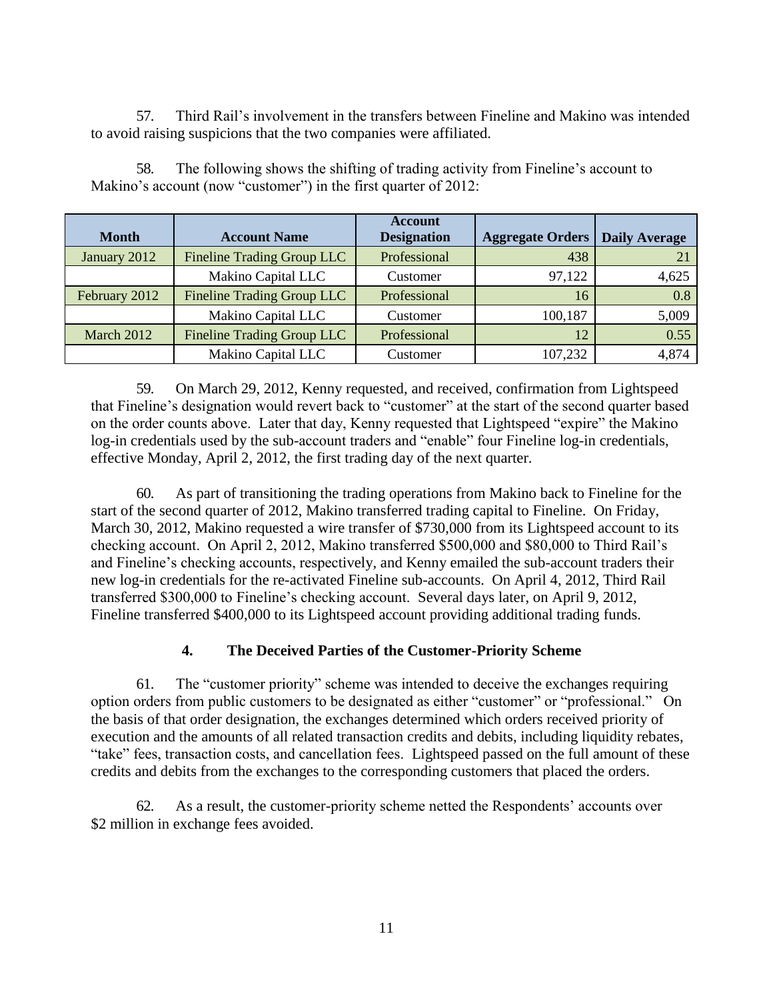57. Third Rail's involvement in the transfers between Fineline and Makino was intended to avoid raising suspicions that the two companies were affiliated.

|               |                                   | <b>Account</b>     |                         |                      |
|---------------|-----------------------------------|--------------------|-------------------------|----------------------|
| <b>Month</b>  | <b>Account Name</b>               | <b>Designation</b> | <b>Aggregate Orders</b> | <b>Daily Average</b> |
|               |                                   |                    |                         |                      |
| January 2012  | <b>Fineline Trading Group LLC</b> | Professional       | 438                     |                      |
|               | Makino Capital LLC                | Customer           | 97,122                  | 4,625                |
| February 2012 | <b>Fineline Trading Group LLC</b> | Professional       | 16                      | 0.8                  |
|               | Makino Capital LLC                | Customer           | 100,187                 | 5,009                |
| March 2012    | <b>Fineline Trading Group LLC</b> | Professional       | 12                      | 0.55                 |
|               | Makino Capital LLC                | Customer           | 107,232                 | 4,874                |

58. The following shows the shifting of trading activity from Fineline's account to Makino's account (now "customer") in the first quarter of 2012:

59. On March 29, 2012, Kenny requested, and received, confirmation from Lightspeed that Fineline's designation would revert back to "customer" at the start of the second quarter based on the order counts above. Later that day, Kenny requested that Lightspeed "expire" the Makino log-in credentials used by the sub-account traders and "enable" four Fineline log-in credentials, effective Monday, April 2, 2012, the first trading day of the next quarter.

60. As part of transitioning the trading operations from Makino back to Fineline for the start of the second quarter of 2012, Makino transferred trading capital to Fineline. On Friday, March 30, 2012, Makino requested a wire transfer of \$730,000 from its Lightspeed account to its checking account. On April 2, 2012, Makino transferred \$500,000 and \$80,000 to Third Rail's and Fineline's checking accounts, respectively, and Kenny emailed the sub-account traders their new log-in credentials for the re-activated Fineline sub-accounts. On April 4, 2012, Third Rail transferred \$300,000 to Fineline's checking account. Several days later, on April 9, 2012, Fineline transferred \$400,000 to its Lightspeed account providing additional trading funds.

## **4. The Deceived Parties of the Customer-Priority Scheme**

61. The "customer priority" scheme was intended to deceive the exchanges requiring option orders from public customers to be designated as either "customer" or "professional." On the basis of that order designation, the exchanges determined which orders received priority of execution and the amounts of all related transaction credits and debits, including liquidity rebates, "take" fees, transaction costs, and cancellation fees. Lightspeed passed on the full amount of these credits and debits from the exchanges to the corresponding customers that placed the orders.

62. As a result, the customer-priority scheme netted the Respondents' accounts over \$2 million in exchange fees avoided.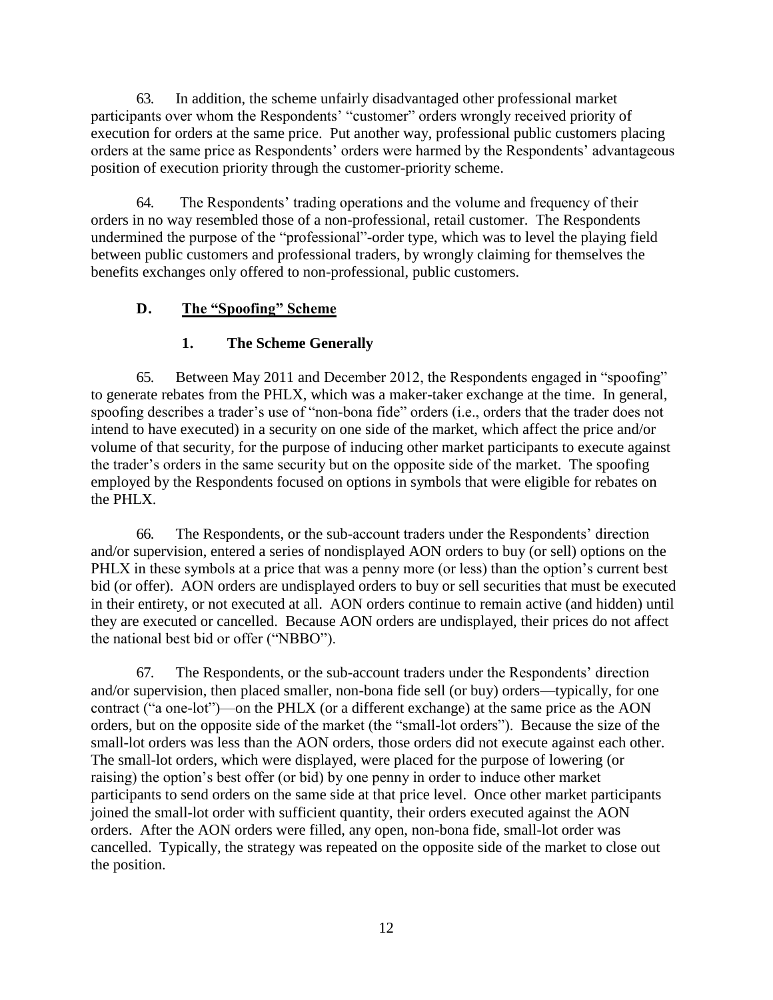63. In addition, the scheme unfairly disadvantaged other professional market participants over whom the Respondents' "customer" orders wrongly received priority of execution for orders at the same price. Put another way, professional public customers placing orders at the same price as Respondents' orders were harmed by the Respondents' advantageous position of execution priority through the customer-priority scheme.

64. The Respondents' trading operations and the volume and frequency of their orders in no way resembled those of a non-professional, retail customer. The Respondents undermined the purpose of the "professional"-order type, which was to level the playing field between public customers and professional traders, by wrongly claiming for themselves the benefits exchanges only offered to non-professional, public customers.

# **D. The "Spoofing" Scheme**

# **1. The Scheme Generally**

65. Between May 2011 and December 2012, the Respondents engaged in "spoofing" to generate rebates from the PHLX, which was a maker-taker exchange at the time. In general, spoofing describes a trader's use of "non-bona fide" orders (i.e., orders that the trader does not intend to have executed) in a security on one side of the market, which affect the price and/or volume of that security, for the purpose of inducing other market participants to execute against the trader's orders in the same security but on the opposite side of the market. The spoofing employed by the Respondents focused on options in symbols that were eligible for rebates on the PHLX.

66. The Respondents, or the sub-account traders under the Respondents' direction and/or supervision, entered a series of nondisplayed AON orders to buy (or sell) options on the PHLX in these symbols at a price that was a penny more (or less) than the option's current best bid (or offer). AON orders are undisplayed orders to buy or sell securities that must be executed in their entirety, or not executed at all. AON orders continue to remain active (and hidden) until they are executed or cancelled. Because AON orders are undisplayed, their prices do not affect the national best bid or offer ("NBBO").

67. The Respondents, or the sub-account traders under the Respondents' direction and/or supervision, then placed smaller, non-bona fide sell (or buy) orders—typically, for one contract ("a one-lot")—on the PHLX (or a different exchange) at the same price as the AON orders, but on the opposite side of the market (the "small-lot orders"). Because the size of the small-lot orders was less than the AON orders, those orders did not execute against each other. The small-lot orders, which were displayed, were placed for the purpose of lowering (or raising) the option's best offer (or bid) by one penny in order to induce other market participants to send orders on the same side at that price level. Once other market participants joined the small-lot order with sufficient quantity, their orders executed against the AON orders. After the AON orders were filled, any open, non-bona fide, small-lot order was cancelled. Typically, the strategy was repeated on the opposite side of the market to close out the position.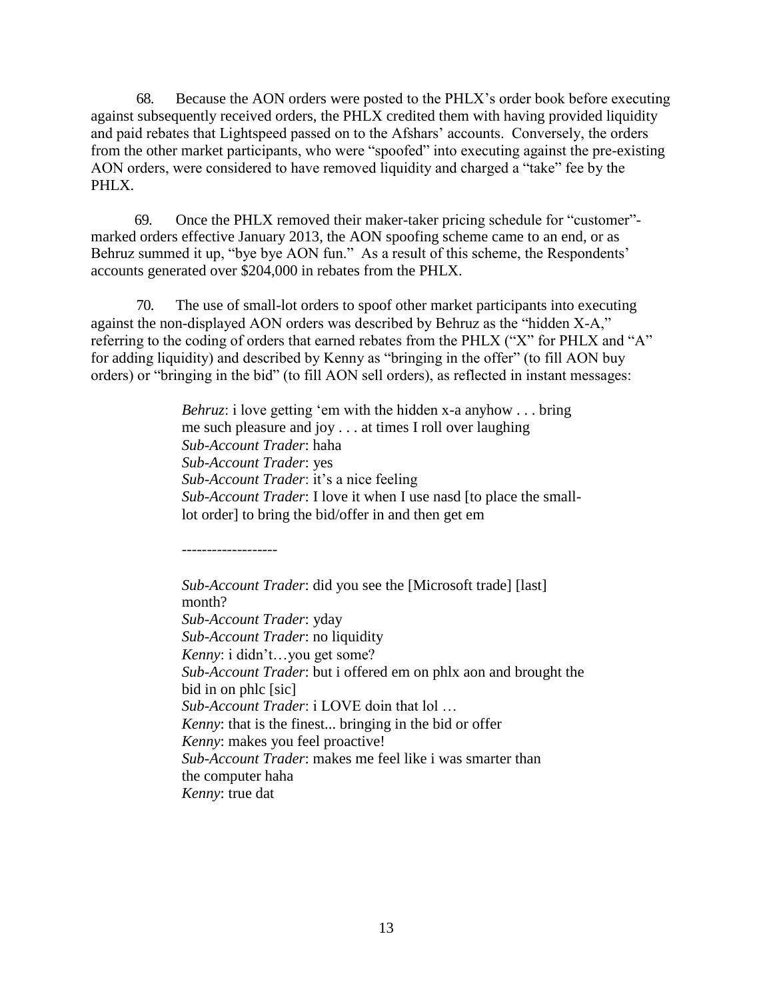68. Because the AON orders were posted to the PHLX's order book before executing against subsequently received orders, the PHLX credited them with having provided liquidity and paid rebates that Lightspeed passed on to the Afshars' accounts. Conversely, the orders from the other market participants, who were "spoofed" into executing against the pre-existing AON orders, were considered to have removed liquidity and charged a "take" fee by the PHLX.

69. Once the PHLX removed their maker-taker pricing schedule for "customer" marked orders effective January 2013, the AON spoofing scheme came to an end, or as Behruz summed it up, "bye bye AON fun." As a result of this scheme, the Respondents' accounts generated over \$204,000 in rebates from the PHLX.

70. The use of small-lot orders to spoof other market participants into executing against the non-displayed AON orders was described by Behruz as the "hidden X-A," referring to the coding of orders that earned rebates from the PHLX ("X" for PHLX and "A" for adding liquidity) and described by Kenny as "bringing in the offer" (to fill AON buy orders) or "bringing in the bid" (to fill AON sell orders), as reflected in instant messages:

> *Behruz*: i love getting 'em with the hidden x-a anyhow . . . bring me such pleasure and joy . . . at times I roll over laughing *Sub-Account Trader*: haha *Sub-Account Trader*: yes *Sub-Account Trader*: it's a nice feeling *Sub-Account Trader*: I love it when I use nasd [to place the smalllot order] to bring the bid/offer in and then get em

-------------------

*Sub-Account Trader*: did you see the [Microsoft trade] [last] month? *Sub-Account Trader*: yday *Sub-Account Trader*: no liquidity *Kenny*: i didn't…you get some? *Sub-Account Trader*: but i offered em on phlx aon and brought the bid in on phlc [sic] *Sub-Account Trader*: i LOVE doin that lol … *Kenny*: that is the finest... bringing in the bid or offer *Kenny*: makes you feel proactive! *Sub-Account Trader*: makes me feel like i was smarter than the computer haha *Kenny*: true dat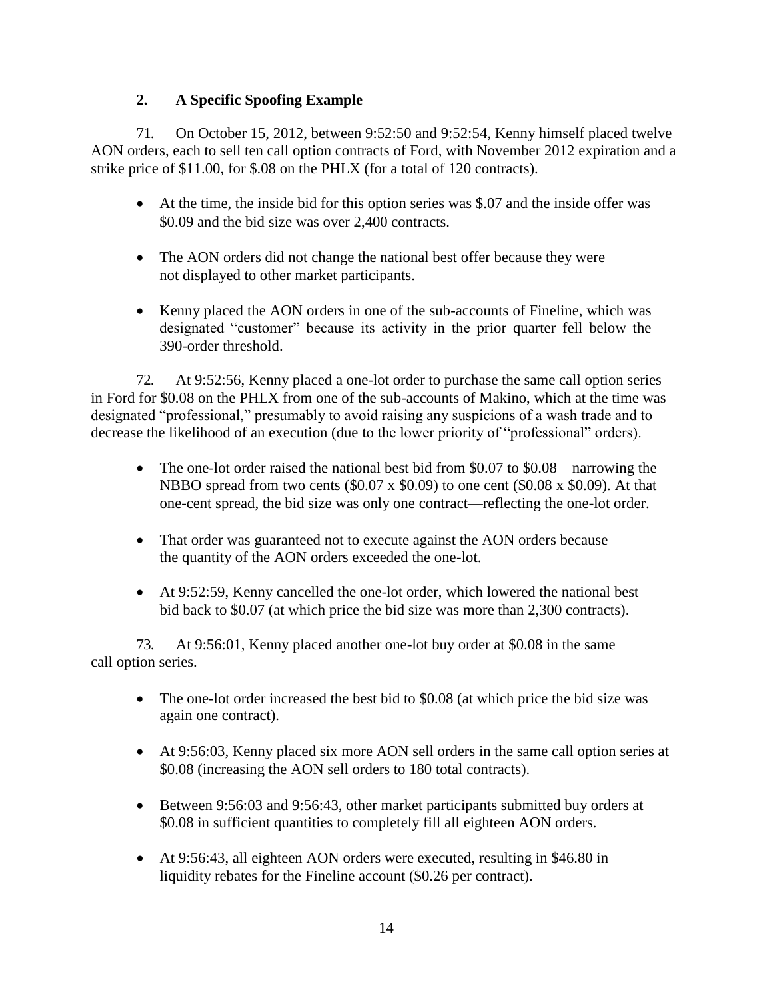# **2. A Specific Spoofing Example**

71. On October 15, 2012, between 9:52:50 and 9:52:54, Kenny himself placed twelve AON orders, each to sell ten call option contracts of Ford, with November 2012 expiration and a strike price of \$11.00, for \$.08 on the PHLX (for a total of 120 contracts).

- At the time, the inside bid for this option series was \$.07 and the inside offer was \$0.09 and the bid size was over 2,400 contracts.
- The AON orders did not change the national best offer because they were not displayed to other market participants.
- Kenny placed the AON orders in one of the sub-accounts of Fineline, which was designated "customer" because its activity in the prior quarter fell below the 390-order threshold.

72. At 9:52:56, Kenny placed a one-lot order to purchase the same call option series in Ford for \$0.08 on the PHLX from one of the sub-accounts of Makino, which at the time was designated "professional," presumably to avoid raising any suspicions of a wash trade and to decrease the likelihood of an execution (due to the lower priority of "professional" orders).

- The one-lot order raised the national best bid from \$0.07 to \$0.08—narrowing the NBBO spread from two cents  $(\$0.07 \times \$0.09)$  to one cent  $(\$0.08 \times \$0.09)$ . At that one-cent spread, the bid size was only one contract—reflecting the one-lot order.
- That order was guaranteed not to execute against the AON orders because the quantity of the AON orders exceeded the one-lot.
- At 9:52:59, Kenny cancelled the one-lot order, which lowered the national best bid back to \$0.07 (at which price the bid size was more than 2,300 contracts).

73. At 9:56:01, Kenny placed another one-lot buy order at \$0.08 in the same call option series.

- The one-lot order increased the best bid to \$0.08 (at which price the bid size was again one contract).
- At 9:56:03, Kenny placed six more AON sell orders in the same call option series at \$0.08 (increasing the AON sell orders to 180 total contracts).
- Between 9:56:03 and 9:56:43, other market participants submitted buy orders at \$0.08 in sufficient quantities to completely fill all eighteen AON orders.
- At 9:56:43, all eighteen AON orders were executed, resulting in \$46.80 in liquidity rebates for the Fineline account (\$0.26 per contract).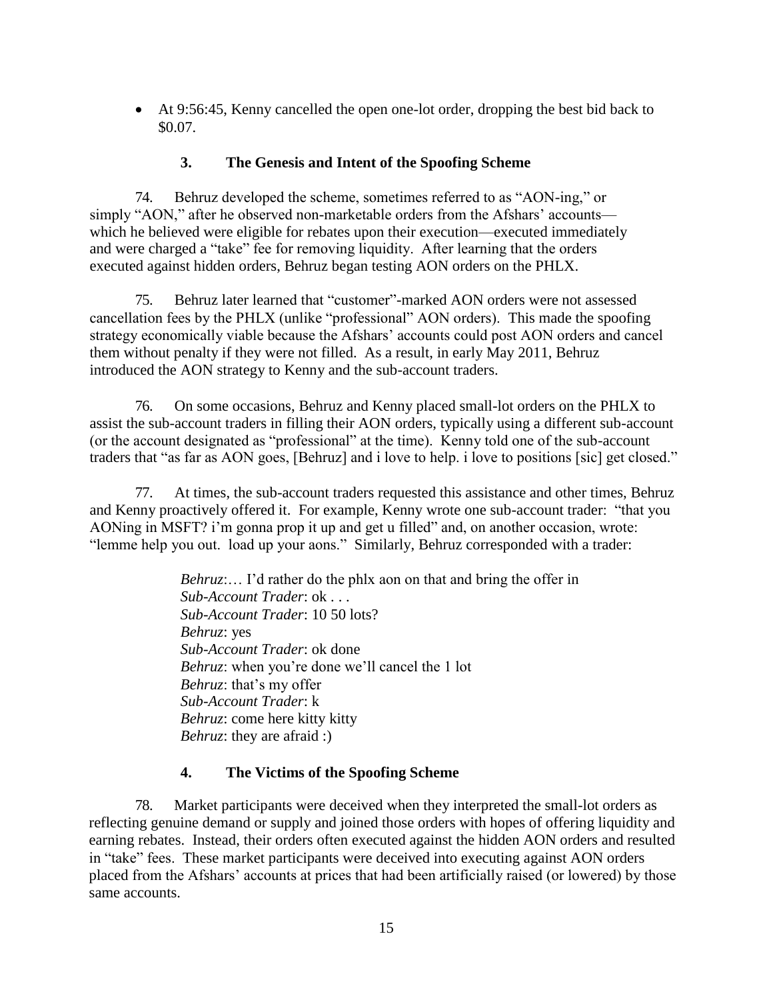At 9:56:45, Kenny cancelled the open one-lot order, dropping the best bid back to \$0.07.

## **3. The Genesis and Intent of the Spoofing Scheme**

74. Behruz developed the scheme, sometimes referred to as "AON-ing," or simply "AON," after he observed non-marketable orders from the Afshars' accounts which he believed were eligible for rebates upon their execution—executed immediately and were charged a "take" fee for removing liquidity. After learning that the orders executed against hidden orders, Behruz began testing AON orders on the PHLX.

75. Behruz later learned that "customer"-marked AON orders were not assessed cancellation fees by the PHLX (unlike "professional" AON orders). This made the spoofing strategy economically viable because the Afshars' accounts could post AON orders and cancel them without penalty if they were not filled. As a result, in early May 2011, Behruz introduced the AON strategy to Kenny and the sub-account traders.

76. On some occasions, Behruz and Kenny placed small-lot orders on the PHLX to assist the sub-account traders in filling their AON orders, typically using a different sub-account (or the account designated as "professional" at the time). Kenny told one of the sub-account traders that "as far as AON goes, [Behruz] and i love to help. i love to positions [sic] get closed."

77. At times, the sub-account traders requested this assistance and other times, Behruz and Kenny proactively offered it. For example, Kenny wrote one sub-account trader: "that you AONing in MSFT? i'm gonna prop it up and get u filled" and, on another occasion, wrote: "lemme help you out. load up your aons." Similarly, Behruz corresponded with a trader:

> *Behruz*:... I'd rather do the phlx aon on that and bring the offer in *Sub-Account Trader*: ok . . . *Sub-Account Trader*: 10 50 lots? *Behruz*: yes *Sub-Account Trader*: ok done *Behruz*: when you're done we'll cancel the 1 lot *Behruz*: that's my offer *Sub-Account Trader*: k *Behruz*: come here kitty kitty *Behruz*: they are afraid :)

## **4. The Victims of the Spoofing Scheme**

78. Market participants were deceived when they interpreted the small-lot orders as reflecting genuine demand or supply and joined those orders with hopes of offering liquidity and earning rebates. Instead, their orders often executed against the hidden AON orders and resulted in "take" fees. These market participants were deceived into executing against AON orders placed from the Afshars' accounts at prices that had been artificially raised (or lowered) by those same accounts.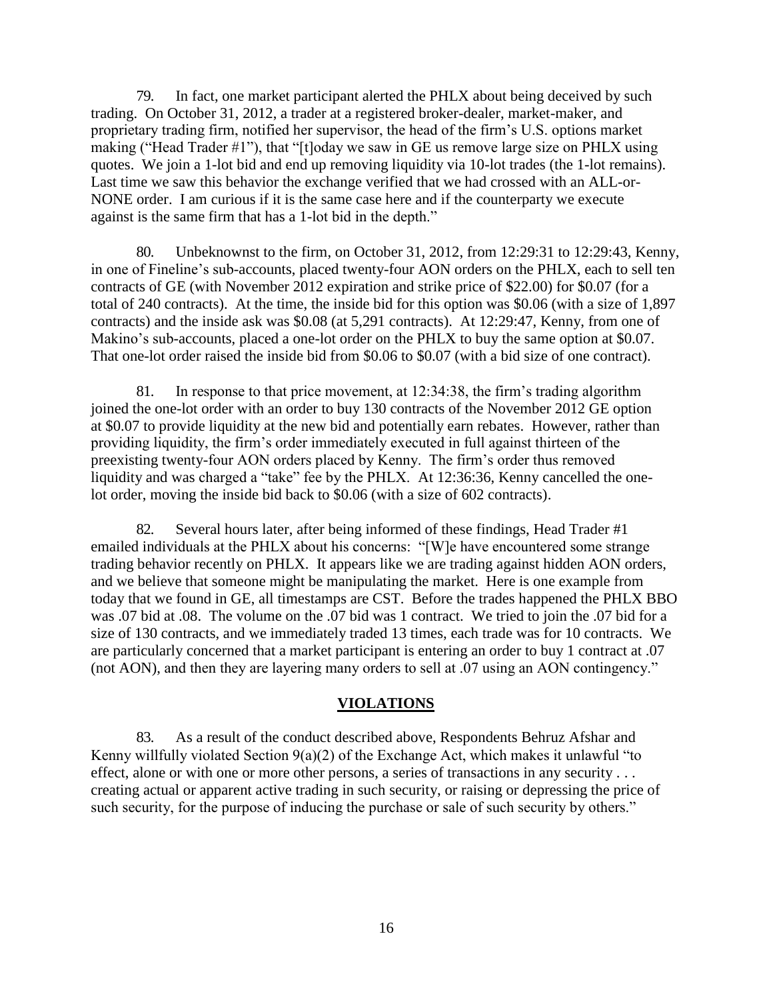79. In fact, one market participant alerted the PHLX about being deceived by such trading. On October 31, 2012, a trader at a registered broker-dealer, market-maker, and proprietary trading firm, notified her supervisor, the head of the firm's U.S. options market making ("Head Trader  $#1$ "), that "[t]oday we saw in GE us remove large size on PHLX using quotes. We join a 1-lot bid and end up removing liquidity via 10-lot trades (the 1-lot remains). Last time we saw this behavior the exchange verified that we had crossed with an ALL-or-NONE order. I am curious if it is the same case here and if the counterparty we execute against is the same firm that has a 1-lot bid in the depth."

80. Unbeknownst to the firm, on October 31, 2012, from 12:29:31 to 12:29:43, Kenny, in one of Fineline's sub-accounts, placed twenty-four AON orders on the PHLX, each to sell ten contracts of GE (with November 2012 expiration and strike price of \$22.00) for \$0.07 (for a total of 240 contracts). At the time, the inside bid for this option was \$0.06 (with a size of 1,897 contracts) and the inside ask was \$0.08 (at 5,291 contracts). At 12:29:47, Kenny, from one of Makino's sub-accounts, placed a one-lot order on the PHLX to buy the same option at \$0.07. That one-lot order raised the inside bid from \$0.06 to \$0.07 (with a bid size of one contract).

81. In response to that price movement, at 12:34:38, the firm's trading algorithm joined the one-lot order with an order to buy 130 contracts of the November 2012 GE option at \$0.07 to provide liquidity at the new bid and potentially earn rebates. However, rather than providing liquidity, the firm's order immediately executed in full against thirteen of the preexisting twenty-four AON orders placed by Kenny. The firm's order thus removed liquidity and was charged a "take" fee by the PHLX. At 12:36:36, Kenny cancelled the onelot order, moving the inside bid back to \$0.06 (with a size of 602 contracts).

82. Several hours later, after being informed of these findings, Head Trader #1 emailed individuals at the PHLX about his concerns: "[W]e have encountered some strange trading behavior recently on PHLX. It appears like we are trading against hidden AON orders, and we believe that someone might be manipulating the market. Here is one example from today that we found in GE, all timestamps are CST. Before the trades happened the PHLX BBO was .07 bid at .08. The volume on the .07 bid was 1 contract. We tried to join the .07 bid for a size of 130 contracts, and we immediately traded 13 times, each trade was for 10 contracts. We are particularly concerned that a market participant is entering an order to buy 1 contract at .07 (not AON), and then they are layering many orders to sell at .07 using an AON contingency."

#### **VIOLATIONS**

83. As a result of the conduct described above, Respondents Behruz Afshar and Kenny willfully violated Section 9(a)(2) of the Exchange Act, which makes it unlawful "to effect, alone or with one or more other persons, a series of transactions in any security . . . creating actual or apparent active trading in such security, or raising or depressing the price of such security, for the purpose of inducing the purchase or sale of such security by others."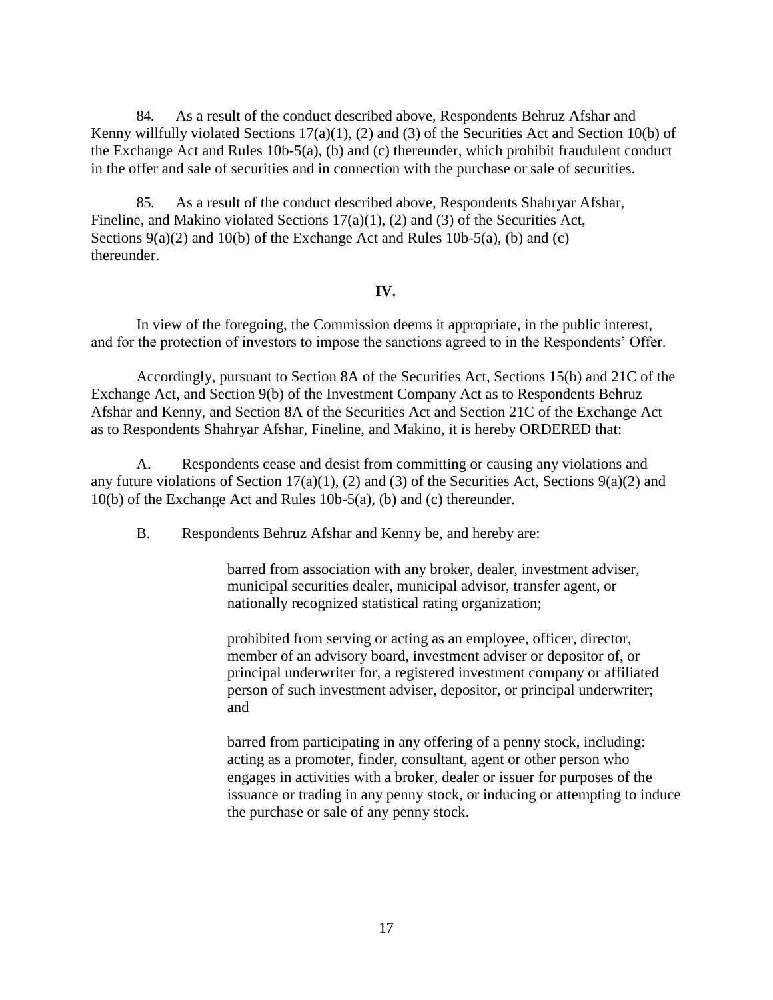84. As a result of the conduct described above, Respondents Behruz Afshar and Kenny willfully violated Sections 17(a)(1), (2) and (3) of the Securities Act and Section 10(b) of the Exchange Act and Rules 10b-5(a), (b) and (c) thereunder, which prohibit fraudulent conduct in the offer and sale of securities and in connection with the purchase or sale of securities.

85. As a result of the conduct described above, Respondents Shahryar Afshar, Fineline, and Makino violated Sections 17(a)(1), (2) and (3) of the Securities Act, Sections  $9(a)(2)$  and  $10(b)$  of the Exchange Act and Rules  $10b-5(a)$ , (b) and (c) thereunder.

### **IV.**

In view of the foregoing, the Commission deems it appropriate, in the public interest, and for the protection of investors to impose the sanctions agreed to in the Respondents' Offer.

Accordingly, pursuant to Section 8A of the Securities Act, Sections 15(b) and 21C of the Exchange Act, and Section 9(b) of the Investment Company Act as to Respondents Behruz Afshar and Kenny, and Section 8A of the Securities Act and Section 21C of the Exchange Act as to Respondents Shahryar Afshar, Fineline, and Makino, it is hereby ORDERED that:

A. Respondents cease and desist from committing or causing any violations and any future violations of Section 17(a)(1), (2) and (3) of the Securities Act, Sections  $9(a)(2)$  and 10(b) of the Exchange Act and Rules 10b-5(a), (b) and (c) thereunder.

B. Respondents Behruz Afshar and Kenny be, and hereby are:

barred from association with any broker, dealer, investment adviser, municipal securities dealer, municipal advisor, transfer agent, or nationally recognized statistical rating organization;

prohibited from serving or acting as an employee, officer, director, member of an advisory board, investment adviser or depositor of, or principal underwriter for, a registered investment company or affiliated person of such investment adviser, depositor, or principal underwriter; and

barred from participating in any offering of a penny stock, including: acting as a promoter, finder, consultant, agent or other person who engages in activities with a broker, dealer or issuer for purposes of the issuance or trading in any penny stock, or inducing or attempting to induce the purchase or sale of any penny stock.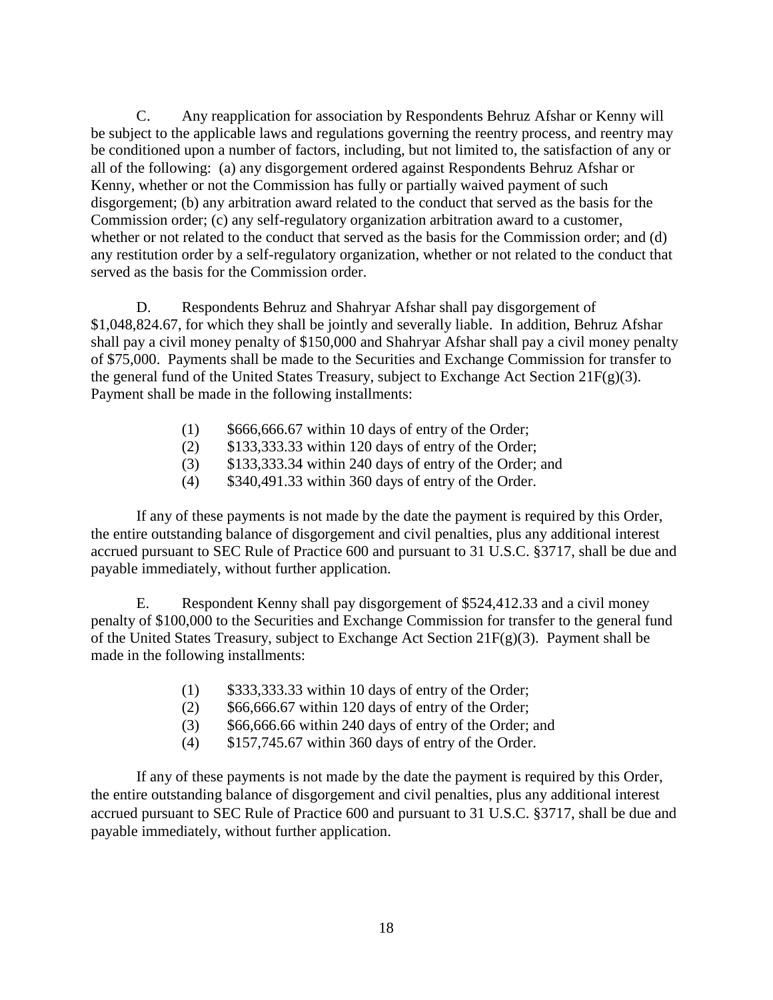C. Any reapplication for association by Respondents Behruz Afshar or Kenny will be subject to the applicable laws and regulations governing the reentry process, and reentry may be conditioned upon a number of factors, including, but not limited to, the satisfaction of any or all of the following: (a) any disgorgement ordered against Respondents Behruz Afshar or Kenny, whether or not the Commission has fully or partially waived payment of such disgorgement; (b) any arbitration award related to the conduct that served as the basis for the Commission order; (c) any self-regulatory organization arbitration award to a customer, whether or not related to the conduct that served as the basis for the Commission order; and (d) any restitution order by a self-regulatory organization, whether or not related to the conduct that served as the basis for the Commission order.

D. Respondents Behruz and Shahryar Afshar shall pay disgorgement of \$1,048,824.67, for which they shall be jointly and severally liable. In addition, Behruz Afshar shall pay a civil money penalty of \$150,000 and Shahryar Afshar shall pay a civil money penalty of \$75,000. Payments shall be made to the Securities and Exchange Commission for transfer to the general fund of the United States Treasury, subject to Exchange Act Section  $21F(g)(3)$ . Payment shall be made in the following installments:

- $(1)$  \$666,666.67 within 10 days of entry of the Order;
- (2) \$133,333.33 within 120 days of entry of the Order;
- (3) \$133,333.34 within 240 days of entry of the Order; and
- (4) \$340,491.33 within 360 days of entry of the Order.

If any of these payments is not made by the date the payment is required by this Order, the entire outstanding balance of disgorgement and civil penalties, plus any additional interest accrued pursuant to SEC Rule of Practice 600 and pursuant to 31 U.S.C. §3717, shall be due and payable immediately, without further application.

E. Respondent Kenny shall pay disgorgement of \$524,412.33 and a civil money penalty of \$100,000 to the Securities and Exchange Commission for transfer to the general fund of the United States Treasury, subject to Exchange Act Section 21F(g)(3). Payment shall be made in the following installments:

- $(1)$  \$333,333.33 within 10 days of entry of the Order;
- $(2)$  \$66,666.67 within 120 days of entry of the Order;
- (3) \$66,666.66 within 240 days of entry of the Order; and
- (4) \$157,745.67 within 360 days of entry of the Order.

If any of these payments is not made by the date the payment is required by this Order, the entire outstanding balance of disgorgement and civil penalties, plus any additional interest accrued pursuant to SEC Rule of Practice 600 and pursuant to 31 U.S.C. §3717, shall be due and payable immediately, without further application.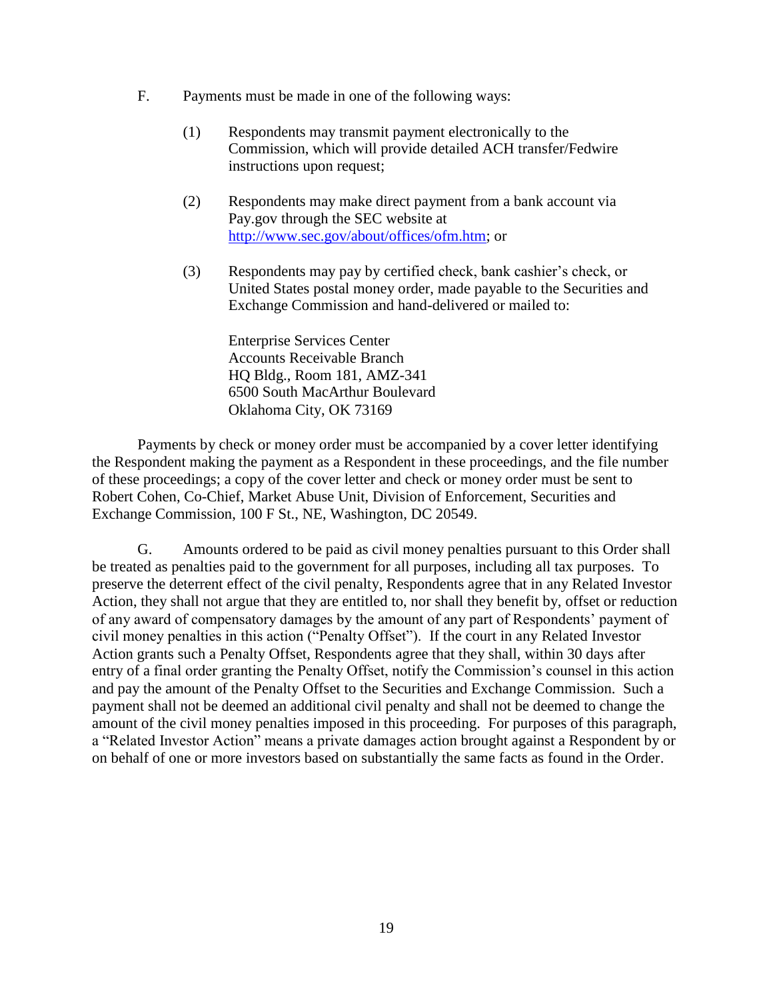- F. Payments must be made in one of the following ways:
	- (1) Respondents may transmit payment electronically to the Commission, which will provide detailed ACH transfer/Fedwire instructions upon request;
	- (2) Respondents may make direct payment from a bank account via Pay.gov through the SEC website at http://www.sec.gov/about/offices/ofm.htm; or
	- (3) Respondents may pay by certified check, bank cashier's check, or United States postal money order, made payable to the Securities and Exchange Commission and hand-delivered or mailed to:

Enterprise Services Center Accounts Receivable Branch HQ Bldg., Room 181, AMZ-341 6500 South MacArthur Boulevard Oklahoma City, OK 73169

Payments by check or money order must be accompanied by a cover letter identifying the Respondent making the payment as a Respondent in these proceedings, and the file number of these proceedings; a copy of the cover letter and check or money order must be sent to Robert Cohen, Co-Chief, Market Abuse Unit, Division of Enforcement, Securities and Exchange Commission, 100 F St., NE, Washington, DC 20549.

G. Amounts ordered to be paid as civil money penalties pursuant to this Order shall be treated as penalties paid to the government for all purposes, including all tax purposes. To preserve the deterrent effect of the civil penalty, Respondents agree that in any Related Investor Action, they shall not argue that they are entitled to, nor shall they benefit by, offset or reduction of any award of compensatory damages by the amount of any part of Respondents' payment of civil money penalties in this action ("Penalty Offset"). If the court in any Related Investor Action grants such a Penalty Offset, Respondents agree that they shall, within 30 days after entry of a final order granting the Penalty Offset, notify the Commission's counsel in this action and pay the amount of the Penalty Offset to the Securities and Exchange Commission. Such a payment shall not be deemed an additional civil penalty and shall not be deemed to change the amount of the civil money penalties imposed in this proceeding. For purposes of this paragraph, a "Related Investor Action" means a private damages action brought against a Respondent by or on behalf of one or more investors based on substantially the same facts as found in the Order.